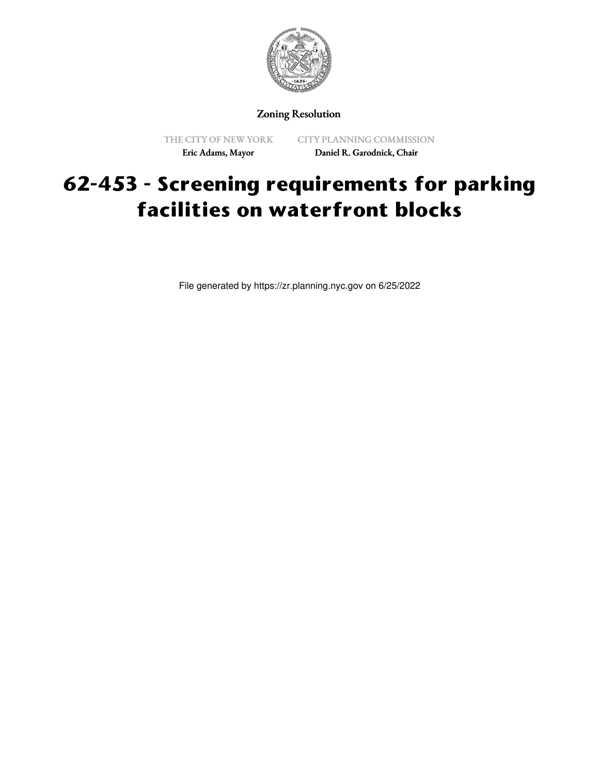

Zoning Resolution

THE CITY OF NEW YORK Eric Adams, Mayor

CITY PLANNING COMMISSION Daniel R. Garodnick, Chair

## **62-453 - Screening requirements for parking facilities on waterfront blocks**

File generated by https://zr.planning.nyc.gov on 6/25/2022